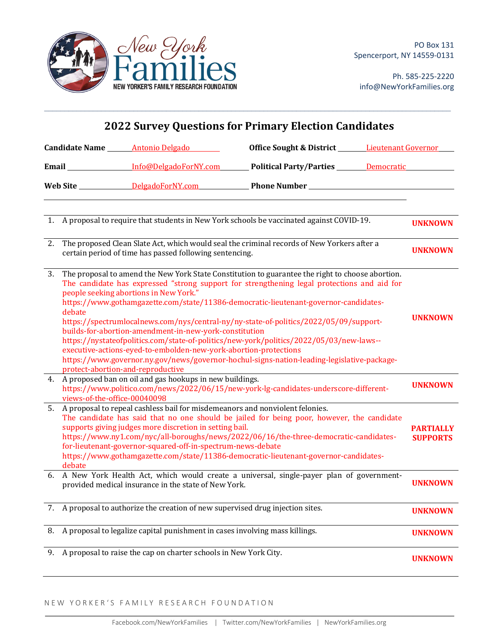

Ph. 585-225-2220 info@NewYorkFamilies.org

| <b>2022 Survey Questions for Primary Election Candidates</b>                                                                                                |                                                                                                                                                                                                                                                                                                                                                                                                                                                                                                                                                                                                                                                                                                                                                                                        |                                              |  |                                     |  |
|-------------------------------------------------------------------------------------------------------------------------------------------------------------|----------------------------------------------------------------------------------------------------------------------------------------------------------------------------------------------------------------------------------------------------------------------------------------------------------------------------------------------------------------------------------------------------------------------------------------------------------------------------------------------------------------------------------------------------------------------------------------------------------------------------------------------------------------------------------------------------------------------------------------------------------------------------------------|----------------------------------------------|--|-------------------------------------|--|
|                                                                                                                                                             | Candidate Name _______ Antonio Delgado                                                                                                                                                                                                                                                                                                                                                                                                                                                                                                                                                                                                                                                                                                                                                 | Office Sought & District Lieutenant Governor |  |                                     |  |
|                                                                                                                                                             | Email Info@DelgadoForNY.com Political Party/Parties Democratic                                                                                                                                                                                                                                                                                                                                                                                                                                                                                                                                                                                                                                                                                                                         |                                              |  |                                     |  |
|                                                                                                                                                             |                                                                                                                                                                                                                                                                                                                                                                                                                                                                                                                                                                                                                                                                                                                                                                                        |                                              |  |                                     |  |
|                                                                                                                                                             | 1. A proposal to require that students in New York schools be vaccinated against COVID-19.                                                                                                                                                                                                                                                                                                                                                                                                                                                                                                                                                                                                                                                                                             |                                              |  | <b>UNKNOWN</b>                      |  |
| The proposed Clean Slate Act, which would seal the criminal records of New Yorkers after a<br>2.<br>certain period of time has passed following sentencing. |                                                                                                                                                                                                                                                                                                                                                                                                                                                                                                                                                                                                                                                                                                                                                                                        |                                              |  | <b>UNKNOWN</b>                      |  |
| 3.<br>debate                                                                                                                                                | The proposal to amend the New York State Constitution to guarantee the right to choose abortion.<br>The candidate has expressed "strong support for strengthening legal protections and aid for<br>people seeking abortions in New York."<br>https://www.gothamgazette.com/state/11386-democratic-lieutenant-governor-candidates-<br>https://spectrumlocalnews.com/nys/central-ny/ny-state-of-politics/2022/05/09/support-<br>builds-for-abortion-amendment-in-new-york-constitution<br>https://nystateofpolitics.com/state-of-politics/new-york/politics/2022/05/03/new-laws--<br>executive-actions-eyed-to-embolden-new-york-abortion-protections<br>https://www.governor.ny.gov/news/governor-hochul-signs-nation-leading-legislative-package-<br>protect-abortion-and-reproductive |                                              |  | <b>UNKNOWN</b>                      |  |
| views-of-the-office-00040098                                                                                                                                | 4. A proposed ban on oil and gas hookups in new buildings.<br>https://www.politico.com/news/2022/06/15/new-york-lg-candidates-underscore-different-                                                                                                                                                                                                                                                                                                                                                                                                                                                                                                                                                                                                                                    |                                              |  | <b>UNKNOWN</b>                      |  |
| 5.<br>debate                                                                                                                                                | A proposal to repeal cashless bail for misdemeanors and nonviolent felonies.<br>The candidate has said that no one should be jailed for being poor, however, the candidate<br>supports giving judges more discretion in setting bail.<br>https://www.ny1.com/nyc/all-boroughs/news/2022/06/16/the-three-democratic-candidates-<br>for-lieutenant-governor-squared-off-in-spectrum-news-debate<br>https://www.gothamgazette.com/state/11386-democratic-lieutenant-governor-candidates-                                                                                                                                                                                                                                                                                                  |                                              |  | <b>PARTIALLY</b><br><b>SUPPORTS</b> |  |
|                                                                                                                                                             | 6. A New York Health Act, which would create a universal, single-payer plan of government-<br>provided medical insurance in the state of New York.                                                                                                                                                                                                                                                                                                                                                                                                                                                                                                                                                                                                                                     |                                              |  | <b>UNKNOWN</b>                      |  |
|                                                                                                                                                             | 7. A proposal to authorize the creation of new supervised drug injection sites.                                                                                                                                                                                                                                                                                                                                                                                                                                                                                                                                                                                                                                                                                                        |                                              |  | <b>UNKNOWN</b>                      |  |
| 8.                                                                                                                                                          | A proposal to legalize capital punishment in cases involving mass killings.                                                                                                                                                                                                                                                                                                                                                                                                                                                                                                                                                                                                                                                                                                            |                                              |  | <b>UNKNOWN</b>                      |  |
| 9.                                                                                                                                                          | A proposal to raise the cap on charter schools in New York City.                                                                                                                                                                                                                                                                                                                                                                                                                                                                                                                                                                                                                                                                                                                       |                                              |  | <b>UNKNOWN</b>                      |  |

 $\mathcal{L}_\mathcal{L} = \mathcal{L}_\mathcal{L} = \mathcal{L}_\mathcal{L} = \mathcal{L}_\mathcal{L} = \mathcal{L}_\mathcal{L} = \mathcal{L}_\mathcal{L} = \mathcal{L}_\mathcal{L} = \mathcal{L}_\mathcal{L} = \mathcal{L}_\mathcal{L} = \mathcal{L}_\mathcal{L} = \mathcal{L}_\mathcal{L} = \mathcal{L}_\mathcal{L} = \mathcal{L}_\mathcal{L} = \mathcal{L}_\mathcal{L} = \mathcal{L}_\mathcal{L} = \mathcal{L}_\mathcal{L} = \mathcal{L}_\mathcal{L}$ 

## NEW YORKER'S FAMILY RESEARCH FOUNDATION